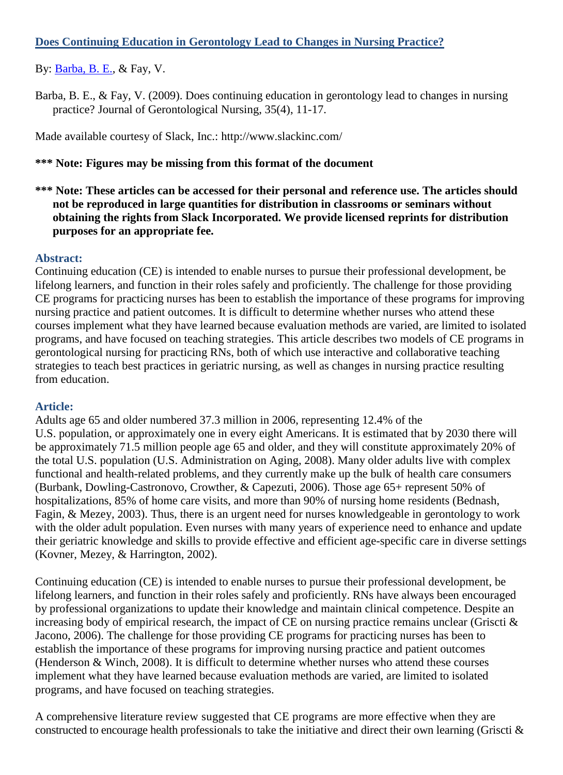# **Does Continuing Education in Gerontology Lead to Changes in Nursing Practice?**

By: [Barba, B. E.,](http://libres.uncg.edu/ir/uncg/clist.aspx?id=1663) & Fay, V.

Barba, B. E., & Fay, V. (2009). Does continuing education in gerontology lead to changes in nursing practice? Journal of Gerontological Nursing, 35(4), 11-17.

Made available courtesy of Slack, Inc.: [http://www.slackinc.com/](http://www.slackinc.com/journals.asp)

## **\*\*\* Note: Figures may be missing from this format of the document**

**\*\*\* Note: These articles can be accessed for their personal and reference use. The articles should not be reproduced in large quantities for distribution in classrooms or seminars without obtaining the rights from Slack Incorporated. We provide licensed reprints for distribution purposes for an appropriate fee.**

### **Abstract:**

Continuing education (CE) is intended to enable nurses to pursue their professional development, be lifelong learners, and function in their roles safely and proficiently. The challenge for those providing CE programs for practicing nurses has been to establish the importance of these programs for improving nursing practice and patient outcomes. It is difficult to determine whether nurses who attend these courses implement what they have learned because evaluation methods are varied, are limited to isolated programs, and have focused on teaching strategies. This article describes two models of CE programs in gerontological nursing for practicing RNs, both of which use interactive and collaborative teaching strategies to teach best practices in geriatric nursing, as well as changes in nursing practice resulting from education.

#### **Article:**

Adults age 65 and older numbered 37.3 million in 2006, representing 12.4% of the U.S. population, or approximately one in every eight Americans. It is estimated that by 2030 there will be approximately 71.5 million people age 65 and older, and they will constitute approximately 20% of the total U.S. population (U.S. Administration on Aging, 2008). Many older adults live with complex functional and health-related problems, and they currently make up the bulk of health care consumers (Burbank, Dowling-Castronovo, Crowther, & Capezuti, 2006). Those age 65+ represent 50% of hospitalizations, 85% of home care visits, and more than 90% of nursing home residents (Bednash, Fagin, & Mezey, 2003). Thus, there is an urgent need for nurses knowledgeable in gerontology to work with the older adult population. Even nurses with many years of experience need to enhance and update their geriatric knowledge and skills to provide effective and efficient age-specific care in diverse settings (Kovner, Mezey, & Harrington, 2002).

Continuing education (CE) is intended to enable nurses to pursue their professional development, be lifelong learners, and function in their roles safely and proficiently. RNs have always been encouraged by professional organizations to update their knowledge and maintain clinical competence. Despite an increasing body of empirical research, the impact of CE on nursing practice remains unclear (Griscti  $\&$ Jacono, 2006). The challenge for those providing CE programs for practicing nurses has been to establish the importance of these programs for improving nursing practice and patient outcomes (Henderson & Winch, 2008). It is difficult to determine whether nurses who attend these courses implement what they have learned because evaluation methods are varied, are limited to isolated programs, and have focused on teaching strategies.

A comprehensive literature review suggested that CE programs are more effective when they are constructed to encourage health professionals to take the initiative and direct their own learning (Griscti  $\&$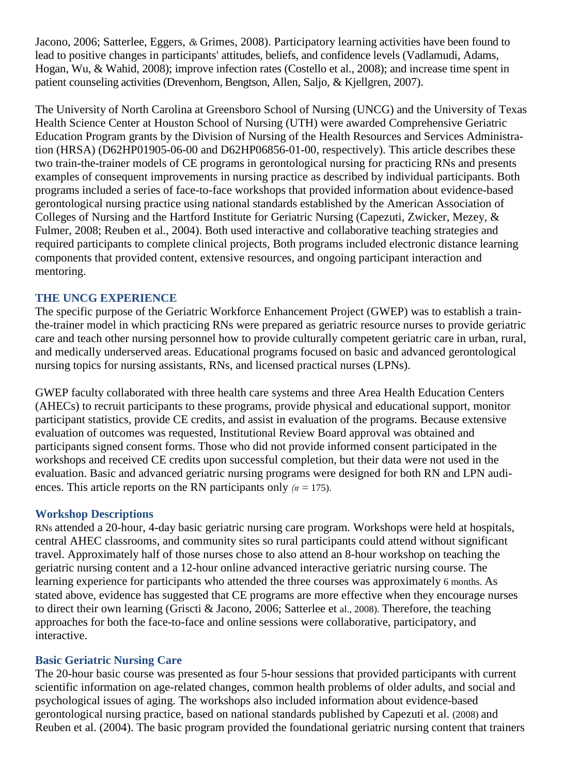Jacono, 2006; Satterlee, Eggers, *&* Grimes, 2008). Participatory learning activities have been found to lead to positive changes in participants' attitudes, beliefs, and confidence levels (Vadlamudi, Adams, Hogan, Wu, & Wahid, 2008); improve infection rates (Costello et al., 2008); and increase time spent in patient counseling activities (Drevenhorn, Bengtson, Allen, Saljo, & Kjellgren, 2007).

The University of North Carolina at Greensboro School of Nursing (UNCG) and the University of Texas Health Science Center at Houston School of Nursing (UTH) were awarded Comprehensive Geriatric Education Program grants by the Division of Nursing of the Health Resources and Services Administration (HRSA) (D62HP01905-06-00 and D62HP06856-01-00, respectively). This article describes these two train-the-trainer models of CE programs in gerontological nursing for practicing RNs and presents examples of consequent improvements in nursing practice as described by individual participants. Both programs included a series of face-to-face workshops that provided information about evidence-based gerontological nursing practice using national standards established by the American Association of Colleges of Nursing and the Hartford Institute for Geriatric Nursing (Capezuti, Zwicker, Mezey, & Fulmer, 2008; Reuben et al., 2004). Both used interactive and collaborative teaching strategies and required participants to complete clinical projects, Both programs included electronic distance learning components that provided content, extensive resources, and ongoing participant interaction and mentoring.

### **THE UNCG EXPERIENCE**

The specific purpose of the Geriatric Workforce Enhancement Project (GWEP) was to establish a trainthe-trainer model in which practicing RNs were prepared as geriatric resource nurses to provide geriatric care and teach other nursing personnel how to provide culturally competent geriatric care in urban, rural, and medically underserved areas. Educational programs focused on basic and advanced gerontological nursing topics for nursing assistants, RNs, and licensed practical nurses (LPNs).

GWEP faculty collaborated with three health care systems and three Area Health Education Centers (AHECs) to recruit participants to these programs, provide physical and educational support, monitor participant statistics, provide CE credits, and assist in evaluation of the programs. Because extensive evaluation of outcomes was requested, Institutional Review Board approval was obtained and participants signed consent forms. Those who did not provide informed consent participated in the workshops and received CE credits upon successful completion, but their data were not used in the evaluation. Basic and advanced geriatric nursing programs were designed for both RN and LPN audiences. This article reports on the RN participants only *(n =* 175).

#### **Workshop Descriptions**

RNs attended a 20-hour, 4-day basic geriatric nursing care program. Workshops were held at hospitals, central AHEC classrooms, and community sites so rural participants could attend without significant travel. Approximately half of those nurses chose to also attend an 8-hour workshop on teaching the geriatric nursing content and a 12-hour online advanced interactive geriatric nursing course. The learning experience for participants who attended the three courses was approximately 6 months. As stated above, evidence has suggested that CE programs are more effective when they encourage nurses to direct their own learning (Griscti & Jacono, 2006; Satterlee et al., 2008). Therefore, the teaching approaches for both the face-to-face and online sessions were collaborative, participatory, and interactive.

## **Basic Geriatric Nursing Care**

The 20-hour basic course was presented as four 5-hour sessions that provided participants with current scientific information on age-related changes, common health problems of older adults, and social and psychological issues of aging. The workshops also included information about evidence-based gerontological nursing practice, based on national standards published by Capezuti et al. (2008) and Reuben et al. (2004). The basic program provided the foundational geriatric nursing content that trainers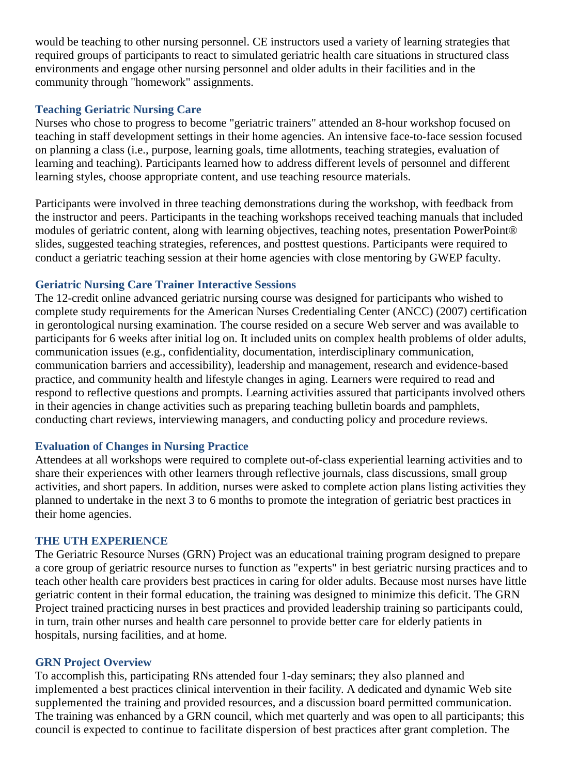would be teaching to other nursing personnel. CE instructors used a variety of learning strategies that required groups of participants to react to simulated geriatric health care situations in structured class environments and engage other nursing personnel and older adults in their facilities and in the community through "homework" assignments.

### **Teaching Geriatric Nursing Care**

Nurses who chose to progress to become "geriatric trainers" attended an 8-hour workshop focused on teaching in staff development settings in their home agencies. An intensive face-to-face session focused on planning a class (i.e., purpose, learning goals, time allotments, teaching strategies, evaluation of learning and teaching). Participants learned how to address different levels of personnel and different learning styles, choose appropriate content, and use teaching resource materials.

Participants were involved in three teaching demonstrations during the workshop, with feedback from the instructor and peers. Participants in the teaching workshops received teaching manuals that included modules of geriatric content, along with learning objectives, teaching notes, presentation PowerPoint® slides, suggested teaching strategies, references, and posttest questions. Participants were required to conduct a geriatric teaching session at their home agencies with close mentoring by GWEP faculty.

#### **Geriatric Nursing Care Trainer Interactive Sessions**

The 12-credit online advanced geriatric nursing course was designed for participants who wished to complete study requirements for the American Nurses Credentialing Center (ANCC) (2007) certification in gerontological nursing examination. The course resided on a secure Web server and was available to participants for 6 weeks after initial log on. It included units on complex health problems of older adults, communication issues (e.g., confidentiality, documentation, interdisciplinary communication, communication barriers and accessibility), leadership and management, research and evidence-based practice, and community health and lifestyle changes in aging. Learners were required to read and respond to reflective questions and prompts. Learning activities assured that participants involved others in their agencies in change activities such as preparing teaching bulletin boards and pamphlets, conducting chart reviews, interviewing managers, and conducting policy and procedure reviews.

## **Evaluation of Changes in Nursing Practice**

Attendees at all workshops were required to complete out-of-class experiential learning activities and to share their experiences with other learners through reflective journals, class discussions, small group activities, and short papers. In addition, nurses were asked to complete action plans listing activities they planned to undertake in the next 3 to 6 months to promote the integration of geriatric best practices in their home agencies.

#### **THE UTH EXPERIENCE**

The Geriatric Resource Nurses (GRN) Project was an educational training program designed to prepare a core group of geriatric resource nurses to function as "experts" in best geriatric nursing practices and to teach other health care providers best practices in caring for older adults. Because most nurses have little geriatric content in their formal education, the training was designed to minimize this deficit. The GRN Project trained practicing nurses in best practices and provided leadership training so participants could, in turn, train other nurses and health care personnel to provide better care for elderly patients in hospitals, nursing facilities, and at home.

#### **GRN Project Overview**

To accomplish this, participating RNs attended four 1-day seminars; they also planned and implemented a best practices clinical intervention in their facility. A dedicated and dynamic Web site supplemented the training and provided resources, and a discussion board permitted communication. The training was enhanced by a GRN council, which met quarterly and was open to all participants; this council is expected to continue to facilitate dispersion of best practices after grant completion. The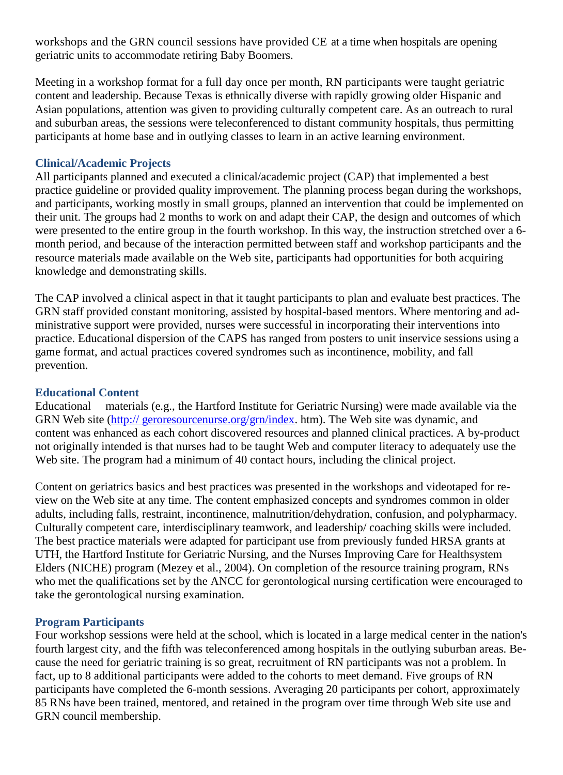workshops and the GRN council sessions have provided CE at a time when hospitals are opening geriatric units to accommodate retiring Baby Boomers.

Meeting in a workshop format for a full day once per month, RN participants were taught geriatric content and leadership. Because Texas is ethnically diverse with rapidly growing older Hispanic and Asian populations, attention was given to providing culturally competent care. As an outreach to rural and suburban areas, the sessions were teleconferenced to distant community hospitals, thus permitting participants at home base and in outlying classes to learn in an active learning environment.

## **Clinical/Academic Projects**

All participants planned and executed a clinical/academic project (CAP) that implemented a best practice guideline or provided quality improvement. The planning process began during the workshops, and participants, working mostly in small groups, planned an intervention that could be implemented on their unit. The groups had 2 months to work on and adapt their CAP, the design and outcomes of which were presented to the entire group in the fourth workshop. In this way, the instruction stretched over a 6 month period, and because of the interaction permitted between staff and workshop participants and the resource materials made available on the Web site, participants had opportunities for both acquiring knowledge and demonstrating skills.

The CAP involved a clinical aspect in that it taught participants to plan and evaluate best practices. The GRN staff provided constant monitoring, assisted by hospital-based mentors. Where mentoring and administrative support were provided, nurses were successful in incorporating their interventions into practice. Educational dispersion of the CAPS has ranged from posters to unit inservice sessions using a game format, and actual practices covered syndromes such as incontinence, mobility, and fall prevention.

# **Educational Content**

Educational materials (e.g., the Hartford Institute for Geriatric Nursing) were made available via the GRN Web site [\(http:// g](http://geroresourcenurse.org/grn/index)eroresourcenurse.org/grn/index. htm). The Web site was dynamic, and content was enhanced as each cohort discovered resources and planned clinical practices. A by-product not originally intended is that nurses had to be taught Web and computer literacy to adequately use the Web site. The program had a minimum of 40 contact hours, including the clinical project.

Content on geriatrics basics and best practices was presented in the workshops and videotaped for review on the Web site at any time. The content emphasized concepts and syndromes common in older adults, including falls, restraint, incontinence, malnutrition/dehydration, confusion, and polypharmacy. Culturally competent care, interdisciplinary teamwork, and leadership/ coaching skills were included. The best practice materials were adapted for participant use from previously funded HRSA grants at UTH, the Hartford Institute for Geriatric Nursing, and the Nurses Improving Care for Healthsystem Elders (NICHE) program (Mezey et al., 2004). On completion of the resource training program, RNs who met the qualifications set by the ANCC for gerontological nursing certification were encouraged to take the gerontological nursing examination.

## **Program Participants**

Four workshop sessions were held at the school, which is located in a large medical center in the nation's fourth largest city, and the fifth was teleconferenced among hospitals in the outlying suburban areas. Because the need for geriatric training is so great, recruitment of RN participants was not a problem. In fact, up to 8 additional participants were added to the cohorts to meet demand. Five groups of RN participants have completed the 6-month sessions. Averaging 20 participants per cohort, approximately 85 RNs have been trained, mentored, and retained in the program over time through Web site use and GRN council membership.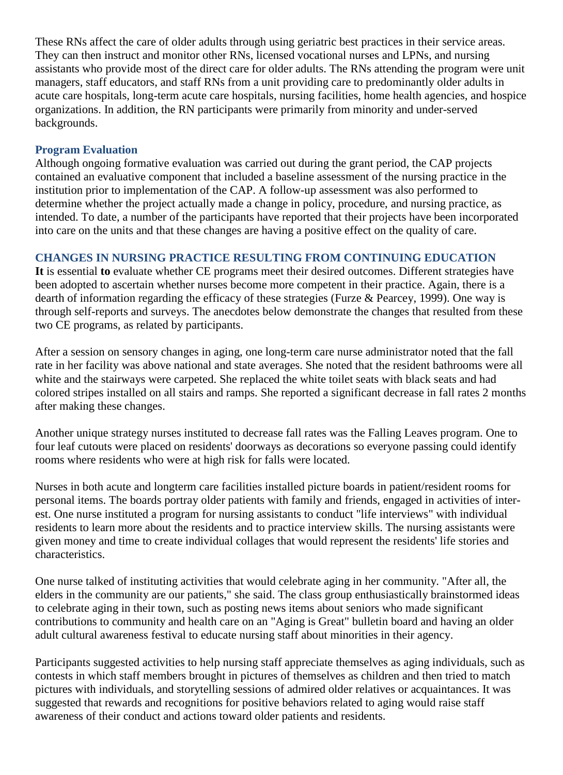These RNs affect the care of older adults through using geriatric best practices in their service areas. They can then instruct and monitor other RNs, licensed vocational nurses and LPNs, and nursing assistants who provide most of the direct care for older adults. The RNs attending the program were unit managers, staff educators, and staff RNs from a unit providing care to predominantly older adults in acute care hospitals, long-term acute care hospitals, nursing facilities, home health agencies, and hospice organizations. In addition, the RN participants were primarily from minority and under-served backgrounds.

### **Program Evaluation**

Although ongoing formative evaluation was carried out during the grant period, the CAP projects contained an evaluative component that included a baseline assessment of the nursing practice in the institution prior to implementation of the CAP. A follow-up assessment was also performed to determine whether the project actually made a change in policy, procedure, and nursing practice, as intended. To date, a number of the participants have reported that their projects have been incorporated into care on the units and that these changes are having a positive effect on the quality of care.

## **CHANGES IN NURSING PRACTICE RESULTING FROM CONTINUING EDUCATION**

**It** is essential **to** evaluate whether CE programs meet their desired outcomes. Different strategies have been adopted to ascertain whether nurses become more competent in their practice. Again, there is a dearth of information regarding the efficacy of these strategies (Furze & Pearcey, 1999). One way is through self-reports and surveys. The anecdotes below demonstrate the changes that resulted from these two CE programs, as related by participants.

After a session on sensory changes in aging, one long-term care nurse administrator noted that the fall rate in her facility was above national and state averages. She noted that the resident bathrooms were all white and the stairways were carpeted. She replaced the white toilet seats with black seats and had colored stripes installed on all stairs and ramps. She reported a significant decrease in fall rates 2 months after making these changes.

Another unique strategy nurses instituted to decrease fall rates was the Falling Leaves program. One to four leaf cutouts were placed on residents' doorways as decorations so everyone passing could identify rooms where residents who were at high risk for falls were located.

Nurses in both acute and longterm care facilities installed picture boards in patient/resident rooms for personal items. The boards portray older patients with family and friends, engaged in activities of interest. One nurse instituted a program for nursing assistants to conduct "life interviews" with individual residents to learn more about the residents and to practice interview skills. The nursing assistants were given money and time to create individual collages that would represent the residents' life stories and characteristics.

One nurse talked of instituting activities that would celebrate aging in her community. "After all, the elders in the community are our patients," she said. The class group enthusiastically brainstormed ideas to celebrate aging in their town, such as posting news items about seniors who made significant contributions to community and health care on an "Aging is Great" bulletin board and having an older adult cultural awareness festival to educate nursing staff about minorities in their agency.

Participants suggested activities to help nursing staff appreciate themselves as aging individuals, such as contests in which staff members brought in pictures of themselves as children and then tried to match pictures with individuals, and storytelling sessions of admired older relatives or acquaintances. It was suggested that rewards and recognitions for positive behaviors related to aging would raise staff awareness of their conduct and actions toward older patients and residents.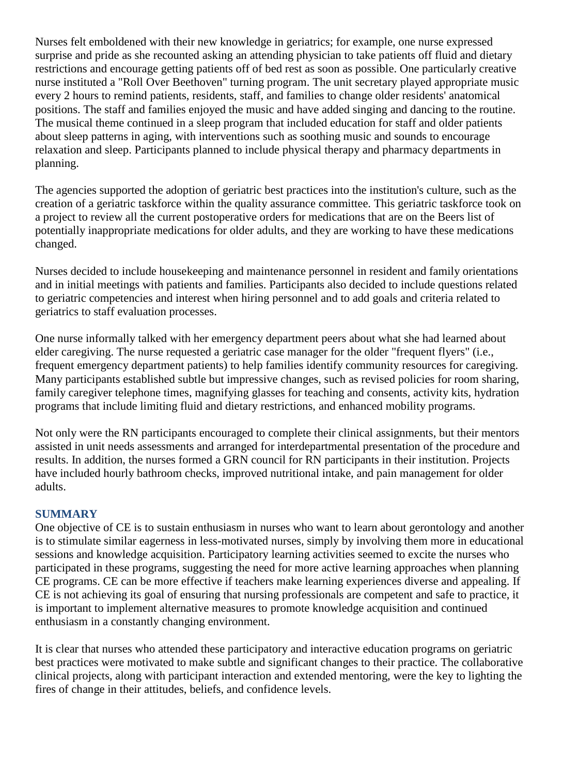Nurses felt emboldened with their new knowledge in geriatrics; for example, one nurse expressed surprise and pride as she recounted asking an attending physician to take patients off fluid and dietary restrictions and encourage getting patients off of bed rest as soon as possible. One particularly creative nurse instituted a "Roll Over Beethoven" turning program. The unit secretary played appropriate music every 2 hours to remind patients, residents, staff, and families to change older residents' anatomical positions. The staff and families enjoyed the music and have added singing and dancing to the routine. The musical theme continued in a sleep program that included education for staff and older patients about sleep patterns in aging, with interventions such as soothing music and sounds to encourage relaxation and sleep. Participants planned to include physical therapy and pharmacy departments in planning.

The agencies supported the adoption of geriatric best practices into the institution's culture, such as the creation of a geriatric taskforce within the quality assurance committee. This geriatric taskforce took on a project to review all the current postoperative orders for medications that are on the Beers list of potentially inappropriate medications for older adults, and they are working to have these medications changed.

Nurses decided to include housekeeping and maintenance personnel in resident and family orientations and in initial meetings with patients and families. Participants also decided to include questions related to geriatric competencies and interest when hiring personnel and to add goals and criteria related to geriatrics to staff evaluation processes.

One nurse informally talked with her emergency department peers about what she had learned about elder caregiving. The nurse requested a geriatric case manager for the older "frequent flyers" (i.e., frequent emergency department patients) to help families identify community resources for caregiving. Many participants established subtle but impressive changes, such as revised policies for room sharing, family caregiver telephone times, magnifying glasses for teaching and consents, activity kits, hydration programs that include limiting fluid and dietary restrictions, and enhanced mobility programs.

Not only were the RN participants encouraged to complete their clinical assignments, but their mentors assisted in unit needs assessments and arranged for interdepartmental presentation of the procedure and results. In addition, the nurses formed a GRN council for RN participants in their institution. Projects have included hourly bathroom checks, improved nutritional intake, and pain management for older adults.

## **SUMMARY**

One objective of CE is to sustain enthusiasm in nurses who want to learn about gerontology and another is to stimulate similar eagerness in less-motivated nurses, simply by involving them more in educational sessions and knowledge acquisition. Participatory learning activities seemed to excite the nurses who participated in these programs, suggesting the need for more active learning approaches when planning CE programs. CE can be more effective if teachers make learning experiences diverse and appealing. If CE is not achieving its goal of ensuring that nursing professionals are competent and safe to practice, it is important to implement alternative measures to promote knowledge acquisition and continued enthusiasm in a constantly changing environment.

It is clear that nurses who attended these participatory and interactive education programs on geriatric best practices were motivated to make subtle and significant changes to their practice. The collaborative clinical projects, along with participant interaction and extended mentoring, were the key to lighting the fires of change in their attitudes, beliefs, and confidence levels.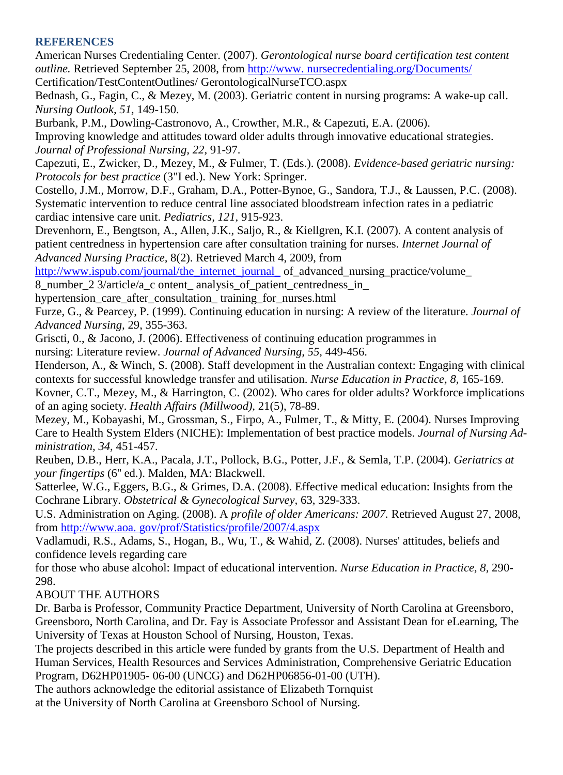### **REFERENCES**

American Nurses Credentialing Center. (2007). *Gerontological nurse board certification test content outline.* Retrieved September 25, 2008, from [http://www. n](http://www.nursecreclentialing.org/Documents/)ursecredentialing.org/Documents/

Certification/TestContentOutlines/ GerontologicalNurseTCO.aspx

Bednash, G., Fagin, C., & Mezey, M. (2003). Geriatric content in nursing programs: A wake-up call. *Nursing Outlook, 51,* 149-150.

Burbank, P.M., Dowling-Castronovo, A., Crowther, M.R., & Capezuti, E.A. (2006). Improving knowledge and attitudes toward older adults through innovative educational strategies. *Journal of Professional Nursing, 22,* 91-97.

Capezuti, E., Zwicker, D., Mezey, M., *&* Fulmer, T. (Eds.). (2008). *Evidence-based geriatric nursing: Protocols for best practice* (3"I ed.). New York: Springer.

Costello, J.M., Morrow, D.F., Graham, D.A., Potter-Bynoe, G., Sandora, T.J., & Laussen, P.C. (2008). Systematic intervention to reduce central line associated bloodstream infection rates in a pediatric cardiac intensive care unit. *Pediatrics, 121,* 915-923.

Drevenhorn, E., Bengtson, A., Allen, J.K., Saljo, R., & Kiellgren, K.I. (2007). A content analysis of patient centredness in hypertension care after consultation training for nurses. *Internet Journal of Advanced Nursing Practice,* 8(2). Retrieved March 4, 2009, from

[http://www.ispub.com/journal/the\\_internet\\_journal\\_](http://www.ispub.com/journal/the_internet_journal_) of\_advanced\_nursing\_practice/volume

8 number 2 3/article/a c ontent analysis of patient centredness in

hypertension\_care\_after\_consultation\_ training\_for\_nurses.html

Furze, G., & Pearcey, P. (1999). Continuing education in nursing: A review of the literature. *Journal of Advanced Nursing,* 29, 355-363.

Griscti, 0., & Jacono, J. (2006). Effectiveness of continuing education programmes in

nursing: Literature review. *Journal of Advanced Nursing, 55,* 449-456.

Henderson, A., & Winch, S. (2008). Staff development in the Australian context: Engaging with clinical contexts for successful knowledge transfer and utilisation. *Nurse Education in Practice, 8,* 165-169.

Kovner, C.T., Mezey, M., & Harrington, C. (2002). Who cares for older adults? Workforce implications of an aging society. *Health Affairs (Millwood),* 21(5), 78-89.

Mezey, M., Kobayashi, M., Grossman, S., Firpo, A., Fulmer, T., & Mitty, E. (2004). Nurses Improving Care to Health System Elders (NICHE): Implementation of best practice models. *Journal of Nursing Administration, 34,* 451-457.

Reuben, D.B., Herr, K.A., Pacala, J.T., Pollock, B.G., Potter, J.F., & Semla, T.P. (2004). *Geriatrics at your fingertips* (6'' ed.). Malden, MA: Blackwell.

Satterlee, W.G., Eggers, B.G., & Grimes, D.A. (2008). Effective medical education: Insights from the Cochrane Library. *Obstetrical & Gynecological Survey,* 63, 329-333.

U.S. Administration on Aging. (2008). A *profile of older Americans: 2007.* Retrieved August 27, 2008, from [http://www.aoa. gov/prof/Statistics/profile/2007/4.aspx](http://www.aoa.gov/prof/Statistics/profile/2007/4.aspx)

Vadlamudi, R.S., Adams, S., Hogan, B., Wu, T., & Wahid, Z. (2008). Nurses' attitudes, beliefs and confidence levels regarding care

for those who abuse alcohol: Impact of educational intervention. *Nurse Education in Practice, 8,* 290- 298.

ABOUT THE AUTHORS

Dr. Barba is Professor, Community Practice Department, University of North Carolina at Greensboro, Greensboro, North Carolina, and Dr. Fay is Associate Professor and Assistant Dean for eLearning, The University of Texas at Houston School of Nursing, Houston, Texas.

The projects described in this article were funded by grants from the U.S. Department of Health and Human Services, Health Resources and Services Administration, Comprehensive Geriatric Education Program, D62HP01905- 06-00 (UNCG) and D62HP06856-01-00 (UTH).

The authors acknowledge the editorial assistance of Elizabeth Tornquist

at the University of North Carolina at Greensboro School of Nursing.